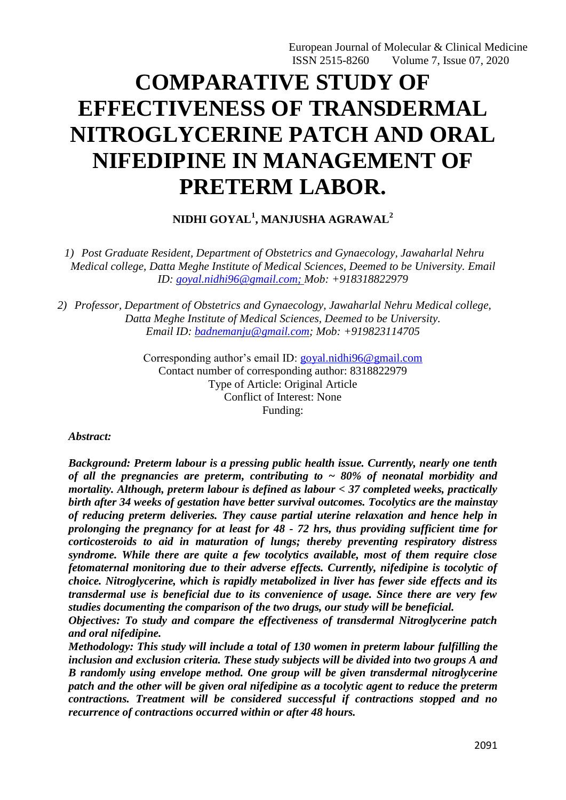European Journal of Molecular & Clinical Medicine ISSN 2515-8260 Volume 7, Issue 07, 2020

# **COMPARATIVE STUDY OF EFFECTIVENESS OF TRANSDERMAL NITROGLYCERINE PATCH AND ORAL NIFEDIPINE IN MANAGEMENT OF PRETERM LABOR.**

**NIDHI GOYAL<sup>1</sup> , MANJUSHA AGRAWAL<sup>2</sup>**

*1) Post Graduate Resident, Department of Obstetrics and Gynaecology, Jawaharlal Nehru Medical college, Datta Meghe Institute of Medical Sciences, Deemed to be University. Email ID: [goyal.nidhi96@gmail.com;](mailto:goyal.nidhi96@gmail.com) Mob: +918318822979*

*2) Professor, Department of Obstetrics and Gynaecology, Jawaharlal Nehru Medical college, Datta Meghe Institute of Medical Sciences, Deemed to be University. Email ID: [badnemanju@gmail.com;](mailto:badnemanju@gmail.com) Mob: +919823114705*

> Corresponding author's email ID: [goyal.nidhi96@gmail.com](mailto:goyal.nidhi96@gmail.com) Contact number of corresponding author: 8318822979 Type of Article: Original Article Conflict of Interest: None Funding:

*Abstract:* 

*Background: Preterm labour is a pressing public health issue. Currently, nearly one tenth of all the pregnancies are preterm, contributing to ~ 80% of neonatal morbidity and mortality. Although, preterm labour is defined as labour < 37 completed weeks, practically birth after 34 weeks of gestation have better survival outcomes. Tocolytics are the mainstay of reducing preterm deliveries. They cause partial uterine relaxation and hence help in prolonging the pregnancy for at least for 48 - 72 hrs, thus providing sufficient time for corticosteroids to aid in maturation of lungs; thereby preventing respiratory distress syndrome. While there are quite a few tocolytics available, most of them require close fetomaternal monitoring due to their adverse effects. Currently, nifedipine is tocolytic of choice. Nitroglycerine, which is rapidly metabolized in liver has fewer side effects and its transdermal use is beneficial due to its convenience of usage. Since there are very few studies documenting the comparison of the two drugs, our study will be beneficial.*

*Objectives: To study and compare the effectiveness of transdermal Nitroglycerine patch and oral nifedipine.*

*Methodology: This study will include a total of 130 women in preterm labour fulfilling the inclusion and exclusion criteria. These study subjects will be divided into two groups A and B randomly using envelope method. One group will be given transdermal nitroglycerine patch and the other will be given oral nifedipine as a tocolytic agent to reduce the preterm contractions. Treatment will be considered successful if contractions stopped and no recurrence of contractions occurred within or after 48 hours.*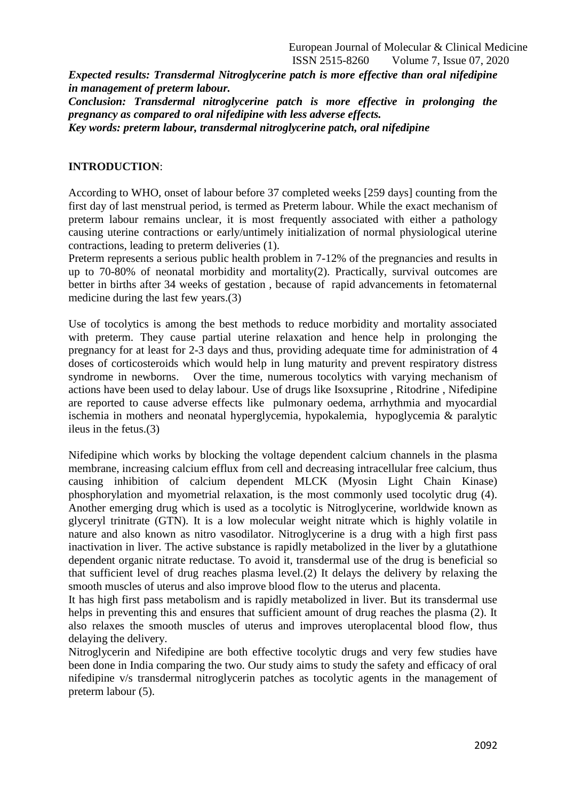European Journal of Molecular & Clinical Medicine ISSN 2515-8260 Volume 7, Issue 07, 2020

*Expected results: Transdermal Nitroglycerine patch is more effective than oral nifedipine in management of preterm labour.*

*Conclusion: Transdermal nitroglycerine patch is more effective in prolonging the pregnancy as compared to oral nifedipine with less adverse effects. Key words: preterm labour, transdermal nitroglycerine patch, oral nifedipine*

#### **INTRODUCTION**:

According to WHO, onset of labour before 37 completed weeks [259 days] counting from the first day of last menstrual period, is termed as Preterm labour. While the exact mechanism of preterm labour remains unclear, it is most frequently associated with either a pathology causing uterine contractions or early/untimely initialization of normal physiological uterine contractions, leading to preterm deliveries (1).

Preterm represents a serious public health problem in 7-12% of the pregnancies and results in up to 70-80% of neonatal morbidity and mortality(2). Practically, survival outcomes are better in births after 34 weeks of gestation , because of rapid advancements in fetomaternal medicine during the last few years.(3)

Use of tocolytics is among the best methods to reduce morbidity and mortality associated with preterm. They cause partial uterine relaxation and hence help in prolonging the pregnancy for at least for 2-3 days and thus, providing adequate time for administration of 4 doses of corticosteroids which would help in lung maturity and prevent respiratory distress syndrome in newborns. Over the time, numerous tocolytics with varying mechanism of actions have been used to delay labour. Use of drugs like Isoxsuprine , Ritodrine , Nifedipine are reported to cause adverse effects like pulmonary oedema, arrhythmia and myocardial ischemia in mothers and neonatal hyperglycemia, hypokalemia, hypoglycemia & paralytic ileus in the fetus.(3)

Nifedipine which works by blocking the voltage dependent calcium channels in the plasma membrane, increasing calcium efflux from cell and decreasing intracellular free calcium, thus causing inhibition of calcium dependent MLCK (Myosin Light Chain Kinase) phosphorylation and myometrial relaxation, is the most commonly used tocolytic drug (4). Another emerging drug which is used as a tocolytic is Nitroglycerine, worldwide known as glyceryl trinitrate (GTN). It is a low molecular weight nitrate which is highly volatile in nature and also known as nitro vasodilator. Nitroglycerine is a drug with a high first pass inactivation in liver. The active substance is rapidly metabolized in the liver by a glutathione dependent organic nitrate reductase. To avoid it, transdermal use of the drug is beneficial so that sufficient level of drug reaches plasma level.(2) It delays the delivery by relaxing the smooth muscles of uterus and also improve blood flow to the uterus and placenta.

It has high first pass metabolism and is rapidly metabolized in liver. But its transdermal use helps in preventing this and ensures that sufficient amount of drug reaches the plasma (2). It also relaxes the smooth muscles of uterus and improves uteroplacental blood flow, thus delaying the delivery.

Nitroglycerin and Nifedipine are both effective tocolytic drugs and very few studies have been done in India comparing the two. Our study aims to study the safety and efficacy of oral nifedipine v/s transdermal nitroglycerin patches as tocolytic agents in the management of preterm labour (5).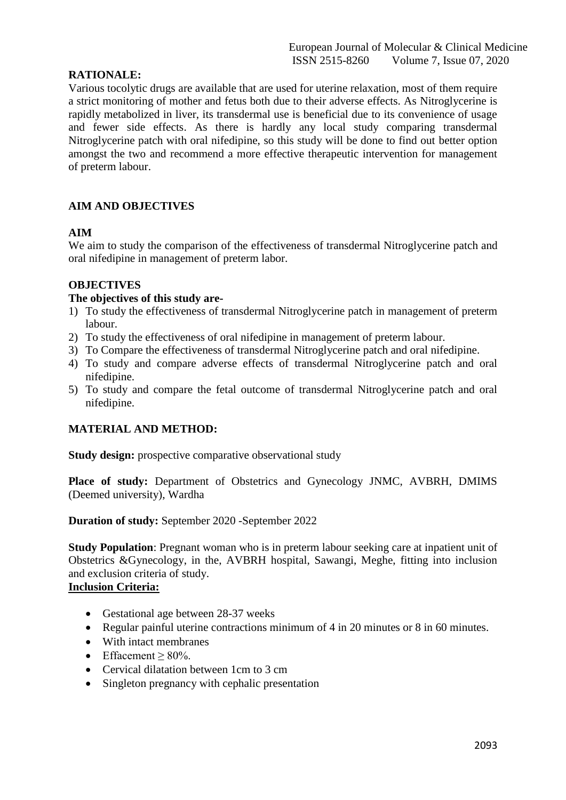# **RATIONALE:**

Various tocolytic drugs are available that are used for uterine relaxation, most of them require a strict monitoring of mother and fetus both due to their adverse effects. As Nitroglycerine is rapidly metabolized in liver, its transdermal use is beneficial due to its convenience of usage and fewer side effects. As there is hardly any local study comparing transdermal Nitroglycerine patch with oral nifedipine, so this study will be done to find out better option amongst the two and recommend a more effective therapeutic intervention for management of preterm labour.

# **AIM AND OBJECTIVES**

## **AIM**

We aim to study the comparison of the effectiveness of transdermal Nitroglycerine patch and oral nifedipine in management of preterm labor.

## **OBJECTIVES**

#### **The objectives of this study are-**

- 1) To study the effectiveness of transdermal Nitroglycerine patch in management of preterm labour.
- 2) To study the effectiveness of oral nifedipine in management of preterm labour.
- 3) To Compare the effectiveness of transdermal Nitroglycerine patch and oral nifedipine.
- 4) To study and compare adverse effects of transdermal Nitroglycerine patch and oral nifedipine.
- 5) To study and compare the fetal outcome of transdermal Nitroglycerine patch and oral nifedipine.

# **MATERIAL AND METHOD:**

**Study design:** prospective comparative observational study

Place of study: Department of Obstetrics and Gynecology JNMC, AVBRH, DMIMS (Deemed university), Wardha

**Duration of study:** September 2020 -September 2022

**Study Population**: Pregnant woman who is in preterm labour seeking care at inpatient unit of Obstetrics &Gynecology, in the, AVBRH hospital, Sawangi, Meghe, fitting into inclusion and exclusion criteria of study.

# **Inclusion Criteria:**

- Gestational age between 28-37 weeks
- Regular painful uterine contractions minimum of 4 in 20 minutes or 8 in 60 minutes.
- With intact membranes
- $\bullet$  Effacement > 80%
- Cervical dilatation between 1cm to 3 cm
- Singleton pregnancy with cephalic presentation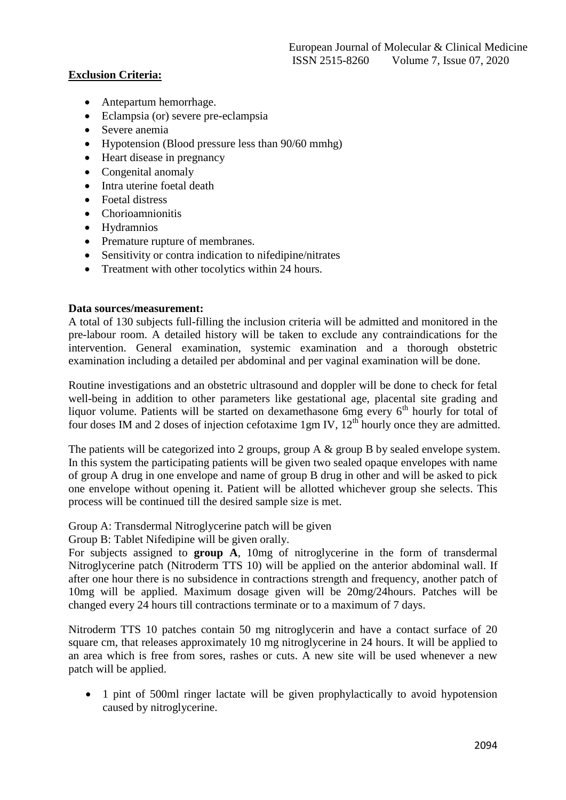# **Exclusion Criteria:**

- Antepartum hemorrhage.
- Eclampsia (or) severe pre-eclampsia
- Severe anemia
- Hypotension (Blood pressure less than 90/60 mmhg)
- Heart disease in pregnancy
- Congenital anomaly
- Intra uterine foetal death
- Foetal distress
- Chorioamnionitis
- Hydramnios
- Premature rupture of membranes.
- Sensitivity or contra indication to nifedipine/nitrates
- Treatment with other tocolytics within 24 hours.

## **Data sources/measurement:**

A total of 130 subjects full-filling the inclusion criteria will be admitted and monitored in the pre-labour room. A detailed history will be taken to exclude any contraindications for the intervention. General examination, systemic examination and a thorough obstetric examination including a detailed per abdominal and per vaginal examination will be done.

Routine investigations and an obstetric ultrasound and doppler will be done to check for fetal well-being in addition to other parameters like gestational age, placental site grading and liquor volume. Patients will be started on dexamethasone 6mg every 6<sup>th</sup> hourly for total of four doses IM and 2 doses of injection cefotaxime 1gm IV,  $12^{th}$  hourly once they are admitted.

The patients will be categorized into 2 groups, group A & group B by sealed envelope system. In this system the participating patients will be given two sealed opaque envelopes with name of group A drug in one envelope and name of group B drug in other and will be asked to pick one envelope without opening it. Patient will be allotted whichever group she selects. This process will be continued till the desired sample size is met.

Group A: Transdermal Nitroglycerine patch will be given

Group B: Tablet Nifedipine will be given orally.

For subjects assigned to **group A**, 10mg of nitroglycerine in the form of transdermal Nitroglycerine patch (Nitroderm TTS 10) will be applied on the anterior abdominal wall. If after one hour there is no subsidence in contractions strength and frequency, another patch of 10mg will be applied. Maximum dosage given will be 20mg/24hours. Patches will be changed every 24 hours till contractions terminate or to a maximum of 7 days.

Nitroderm TTS 10 patches contain 50 mg nitroglycerin and have a contact surface of 20 square cm, that releases approximately 10 mg nitroglycerine in 24 hours. It will be applied to an area which is free from sores, rashes or cuts. A new site will be used whenever a new patch will be applied.

• 1 pint of 500ml ringer lactate will be given prophylactically to avoid hypotension caused by nitroglycerine.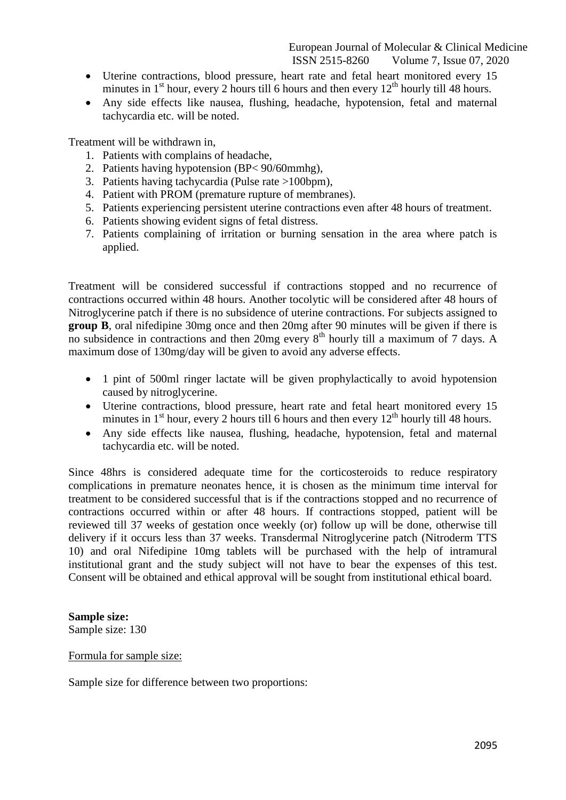- Uterine contractions, blood pressure, heart rate and fetal heart monitored every 15 minutes in  $1<sup>st</sup>$  hour, every 2 hours till 6 hours and then every  $12<sup>th</sup>$  hourly till 48 hours.
- Any side effects like nausea, flushing, headache, hypotension, fetal and maternal tachycardia etc. will be noted.

Treatment will be withdrawn in,

- 1. Patients with complains of headache,
- 2. Patients having hypotension (BP< 90/60mmhg),
- 3. Patients having tachycardia (Pulse rate >100bpm),
- 4. Patient with PROM (premature rupture of membranes).
- 5. Patients experiencing persistent uterine contractions even after 48 hours of treatment.
- 6. Patients showing evident signs of fetal distress.
- 7. Patients complaining of irritation or burning sensation in the area where patch is applied.

Treatment will be considered successful if contractions stopped and no recurrence of contractions occurred within 48 hours. Another tocolytic will be considered after 48 hours of Nitroglycerine patch if there is no subsidence of uterine contractions. For subjects assigned to **group B**, oral nifedipine 30mg once and then 20mg after 90 minutes will be given if there is no subsidence in contractions and then 20mg every  $8<sup>th</sup>$  hourly till a maximum of 7 days. A maximum dose of 130mg/day will be given to avoid any adverse effects.

- 1 pint of 500ml ringer lactate will be given prophylactically to avoid hypotension caused by nitroglycerine.
- Uterine contractions, blood pressure, heart rate and fetal heart monitored every 15 minutes in  $1<sup>st</sup>$  hour, every 2 hours till 6 hours and then every  $12<sup>th</sup>$  hourly till 48 hours.
- Any side effects like nausea, flushing, headache, hypotension, fetal and maternal tachycardia etc. will be noted.

Since 48hrs is considered adequate time for the corticosteroids to reduce respiratory complications in premature neonates hence, it is chosen as the minimum time interval for treatment to be considered successful that is if the contractions stopped and no recurrence of contractions occurred within or after 48 hours. If contractions stopped, patient will be reviewed till 37 weeks of gestation once weekly (or) follow up will be done, otherwise till delivery if it occurs less than 37 weeks. Transdermal Nitroglycerine patch (Nitroderm TTS 10) and oral Nifedipine 10mg tablets will be purchased with the help of intramural institutional grant and the study subject will not have to bear the expenses of this test. Consent will be obtained and ethical approval will be sought from institutional ethical board.

**Sample size:** Sample size: 130

Formula for sample size:

Sample size for difference between two proportions: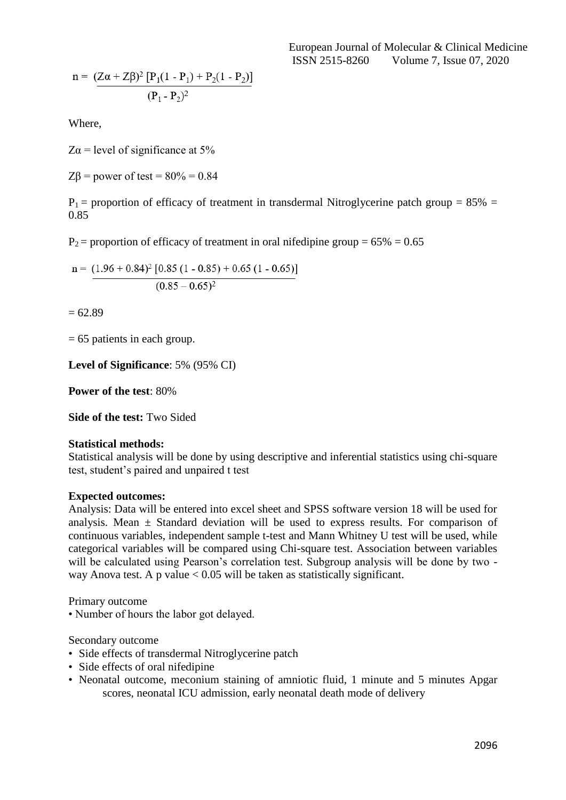European Journal of Molecular & Clinical Medicine ISSN 2515-8260 Volume 7, Issue 07, 2020

$$
n = \frac{(Z\alpha + Z\beta)^2 [P_1(1 - P_1) + P_2(1 - P_2)]}{(P_1 - P_2)^2}
$$

Where,

 $Z\alpha$  = level of significance at 5%

 $ZB$  = power of test =  $80\%$  = 0.84

 $P_1$  = proportion of efficacy of treatment in transdermal Nitroglycerine patch group = 85% = 0.85

 $P_2$  = proportion of efficacy of treatment in oral nifedipine group = 65% = 0.65

 $n = (1.96 + 0.84)^{2} [0.85 (1 - 0.85) + 0.65 (1 - 0.65)]$  $\sqrt{(0.85-0.65)^2}$ 

 $= 62.89$ 

= 65 patients in each group.

**Level of Significance**: 5% (95% CI)

**Power of the test**: 80%

**Side of the test:** Two Sided

#### **Statistical methods:**

Statistical analysis will be done by using descriptive and inferential statistics using chi-square test, student's paired and unpaired t test

#### **Expected outcomes:**

Analysis: Data will be entered into excel sheet and SPSS software version 18 will be used for analysis. Mean  $\pm$  Standard deviation will be used to express results. For comparison of continuous variables, independent sample t-test and Mann Whitney U test will be used, while categorical variables will be compared using Chi-square test. Association between variables will be calculated using Pearson's correlation test. Subgroup analysis will be done by two way Anova test. A p value  $< 0.05$  will be taken as statistically significant.

Primary outcome

• Number of hours the labor got delayed.

Secondary outcome

- Side effects of transdermal Nitroglycerine patch
- Side effects of oral nifedipine
- Neonatal outcome, meconium staining of amniotic fluid, 1 minute and 5 minutes Apgar scores, neonatal ICU admission, early neonatal death mode of delivery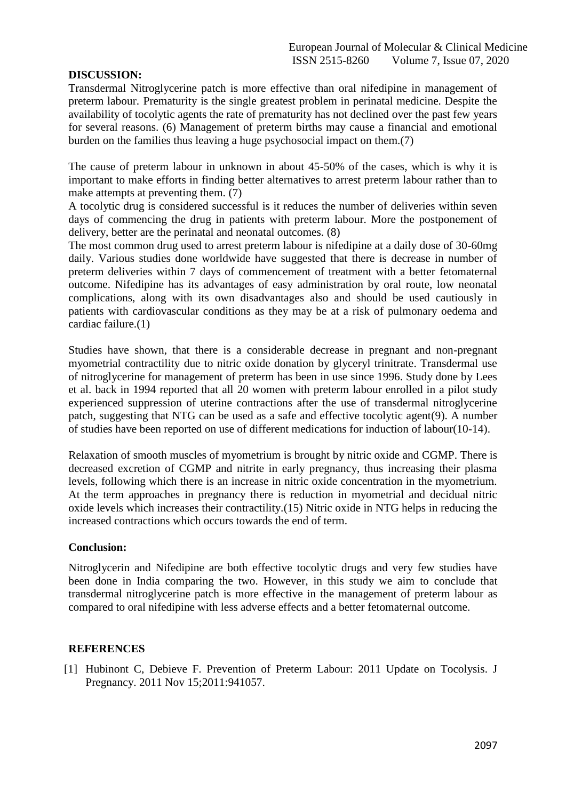## **DISCUSSION:**

Transdermal Nitroglycerine patch is more effective than oral nifedipine in management of preterm labour. Prematurity is the single greatest problem in perinatal medicine. Despite the availability of tocolytic agents the rate of prematurity has not declined over the past few years for several reasons. (6) Management of preterm births may cause a financial and emotional burden on the families thus leaving a huge psychosocial impact on them.(7)

The cause of preterm labour in unknown in about 45-50% of the cases, which is why it is important to make efforts in finding better alternatives to arrest preterm labour rather than to make attempts at preventing them. (7)

A tocolytic drug is considered successful is it reduces the number of deliveries within seven days of commencing the drug in patients with preterm labour. More the postponement of delivery, better are the perinatal and neonatal outcomes. (8)

The most common drug used to arrest preterm labour is nifedipine at a daily dose of 30-60mg daily. Various studies done worldwide have suggested that there is decrease in number of preterm deliveries within 7 days of commencement of treatment with a better fetomaternal outcome. Nifedipine has its advantages of easy administration by oral route, low neonatal complications, along with its own disadvantages also and should be used cautiously in patients with cardiovascular conditions as they may be at a risk of pulmonary oedema and cardiac failure.(1)

Studies have shown, that there is a considerable decrease in pregnant and non-pregnant myometrial contractility due to nitric oxide donation by glyceryl trinitrate. Transdermal use of nitroglycerine for management of preterm has been in use since 1996. Study done by Lees et al. back in 1994 reported that all 20 women with preterm labour enrolled in a pilot study experienced suppression of uterine contractions after the use of transdermal nitroglycerine patch, suggesting that NTG can be used as a safe and effective tocolytic agent(9). A number of studies have been reported on use of different medications for induction of labour(10-14).

Relaxation of smooth muscles of myometrium is brought by nitric oxide and CGMP. There is decreased excretion of CGMP and nitrite in early pregnancy, thus increasing their plasma levels, following which there is an increase in nitric oxide concentration in the myometrium. At the term approaches in pregnancy there is reduction in myometrial and decidual nitric oxide levels which increases their contractility.(15) Nitric oxide in NTG helps in reducing the increased contractions which occurs towards the end of term.

#### **Conclusion:**

Nitroglycerin and Nifedipine are both effective tocolytic drugs and very few studies have been done in India comparing the two. However, in this study we aim to conclude that transdermal nitroglycerine patch is more effective in the management of preterm labour as compared to oral nifedipine with less adverse effects and a better fetomaternal outcome.

#### **REFERENCES**

[1] Hubinont C, Debieve F. Prevention of Preterm Labour: 2011 Update on Tocolysis. J Pregnancy. 2011 Nov 15;2011:941057.